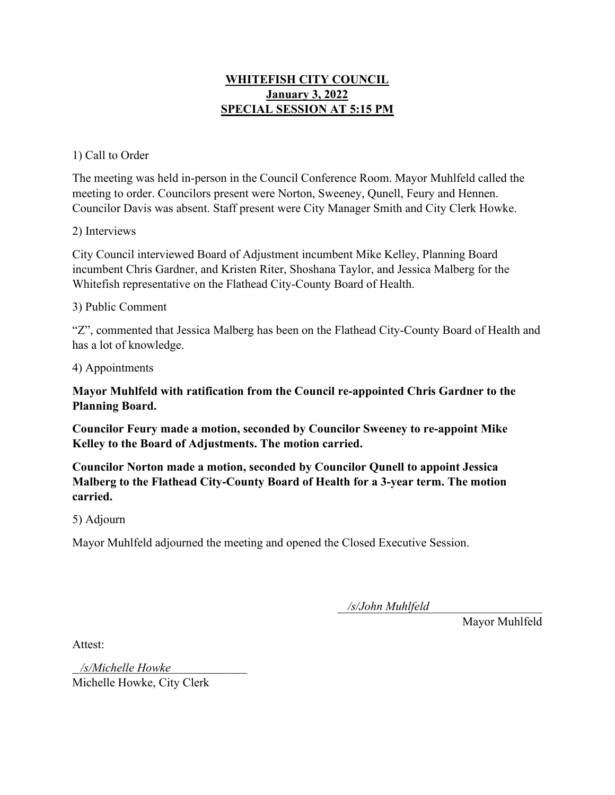# **WHITEFISH CITY COUNCIL January 3, 2022 SPECIAL SESSION AT 5:15 PM**

### 1) Call to Order

The meeting was held in-person in the Council Conference Room. Mayor Muhlfeld called the meeting to order. Councilors present were Norton, Sweeney, Qunell, Feury and Hennen. Councilor Davis was absent. Staff present were City Manager Smith and City Clerk Howke.

#### 2) Interviews

City Council interviewed Board of Adjustment incumbent Mike Kelley, Planning Board incumbent Chris Gardner, and Kristen Riter, Shoshana Taylor, and Jessica Malberg for the Whitefish representative on the Flathead City-County Board of Health.

### 3) Public Comment

"Z", commented that Jessica Malberg has been on the Flathead City-County Board of Health and has a lot of knowledge.

4) Appointments

**Mayor Muhlfeld with ratification from the Council re-appointed Chris Gardner to the Planning Board.** 

**Councilor Feury made a motion, seconded by Councilor Sweeney to re-appoint Mike Kelley to the Board of Adjustments. The motion carried.** 

**Councilor Norton made a motion, seconded by Councilor Qunell to appoint Jessica Malberg to the Flathead City-County Board of Health for a 3-year term. The motion carried.** 

5) Adjourn

Mayor Muhlfeld adjourned the meeting and opened the Closed Executive Session.

\_\_\_\_\_\_\_\_\_\_\_\_\_\_\_\_\_\_\_\_\_\_\_\_\_\_\_\_\_\_\_\_\_\_ */s/John Muhlfeld*

Mayor Muhlfeld

Attest:

\_\_\_\_\_\_\_\_\_\_\_\_\_\_\_\_\_\_\_\_\_\_\_\_\_\_\_\_\_ */s/Michelle Howke*Michelle Howke, City Clerk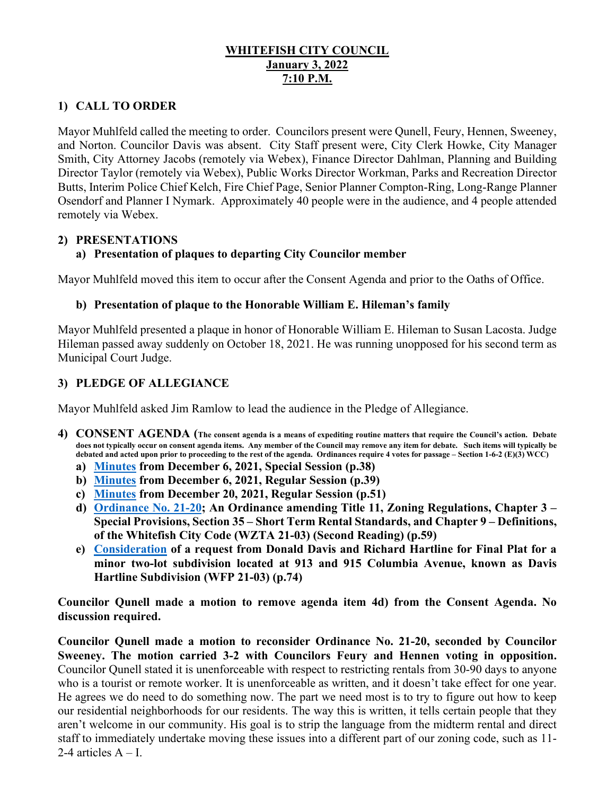## **WHITEFISH CITY COUNCIL January 3, 2022 7:10 P.M.**

# **1) CALL TO ORDER**

Mayor Muhlfeld called the meeting to order. Councilors present were Qunell, Feury, Hennen, Sweeney, and Norton. Councilor Davis was absent. City Staff present were, City Clerk Howke, City Manager Smith, City Attorney Jacobs (remotely via Webex), Finance Director Dahlman, Planning and Building Director Taylor (remotely via Webex), Public Works Director Workman, Parks and Recreation Director Butts, Interim Police Chief Kelch, Fire Chief Page, Senior Planner Compton-Ring, Long-Range Planner Osendorf and Planner I Nymark. Approximately 40 people were in the audience, and 4 people attended remotely via Webex.

### **2) PRESENTATIONS**

# **a) Presentation of plaques to departing City Councilor member**

Mayor Muhlfeld moved this item to occur after the Consent Agenda and prior to the Oaths of Office.

### **b) Presentation of plaque to the Honorable William E. Hileman's family**

Mayor Muhlfeld presented a plaque in honor of Honorable William E. Hileman to Susan Lacosta. Judge Hileman passed away suddenly on October 18, 2021. He was running unopposed for his second term as Municipal Court Judge.

# **3) PLEDGE OF ALLEGIANCE**

Mayor Muhlfeld asked Jim Ramlow to lead the audience in the Pledge of Allegiance.

- **4) CONSENT AGENDA (The consent agenda is a means of expediting routine matters that require the Council's action. Debate does not typically occur on consent agenda items. Any member of the Council may remove any item for debate. Such items will typically be debated and acted upon prior to proceeding to the rest of the agenda. Ordinances require 4 votes for passage – Section 1-6-2 (E)(3) WCC)**
	- **a) [Minutes](https://cityofwhitefishmt.sharepoint.com/:b:/g/documents/ESaLJIWwEshOgFgpbbtSEDcBGjWO6kdnOO4Yf5WTpeJJLw?e=Dxbsge) from December 6, 2021, Special Session (p.38)**
	- **b) [Minutes](https://cityofwhitefishmt.sharepoint.com/:b:/g/documents/ETOpkUbdogZAhcQll7ILsQMBa5c1gjQv0pGOPiF3SvV46w?e=wggIc0) from December 6, 2021, Regular Session (p.39)**
	- **c) [Minutes](https://cityofwhitefishmt.sharepoint.com/:b:/g/documents/EclYA7aN17lOgWZK4Hoj_2gBoqn2ecIAkIDCP-9QRjYjmg?e=XOy6M2) from December 20, 2021, Regular Session (p.51)**
	- **d) [Ordinance No. 21-20;](https://cityofwhitefishmt.sharepoint.com/:b:/g/documents/EdndE4pcW8dIub3HlroxvIABnixaFWUhlHGx8eQP-jmdAA?e=llmKJ3) An Ordinance amending Title 11, Zoning Regulations, Chapter 3 – Special Provisions, Section 35 – Short Term Rental Standards, and Chapter 9 – Definitions, of the Whitefish City Code (WZTA 21-03) (Second Reading) (p.59)**
	- **e) [Consideration](https://cityofwhitefishmt.sharepoint.com/:b:/g/documents/EcCGm8y47UFArX2OY8p2gigB8K10W1AXHaZVgjXCjZ_HDQ?e=vOu4vn) of a request from Donald Davis and Richard Hartline for Final Plat for a minor two-lot subdivision located at 913 and 915 Columbia Avenue, known as Davis Hartline Subdivision (WFP 21-03) (p.74)**

**Councilor Qunell made a motion to remove agenda item 4d) from the Consent Agenda. No discussion required.** 

**Councilor Qunell made a motion to reconsider Ordinance No. 21-20, seconded by Councilor Sweeney. The motion carried 3-2 with Councilors Feury and Hennen voting in opposition.**  Councilor Qunell stated it is unenforceable with respect to restricting rentals from 30-90 days to anyone who is a tourist or remote worker. It is unenforceable as written, and it doesn't take effect for one year. He agrees we do need to do something now. The part we need most is to try to figure out how to keep our residential neighborhoods for our residents. The way this is written, it tells certain people that they aren't welcome in our community. His goal is to strip the language from the midterm rental and direct staff to immediately undertake moving these issues into a different part of our zoning code, such as 11- 2-4 articles  $A - I$ .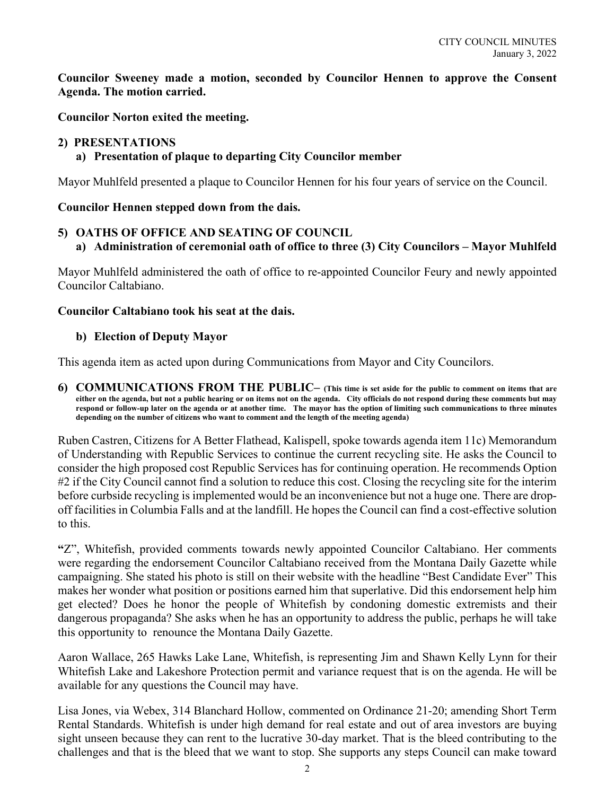**Councilor Sweeney made a motion, seconded by Councilor Hennen to approve the Consent Agenda. The motion carried.** 

**Councilor Norton exited the meeting.** 

### **2) PRESENTATIONS**

### **a) Presentation of plaque to departing City Councilor member**

Mayor Muhlfeld presented a plaque to Councilor Hennen for his four years of service on the Council.

### **Councilor Hennen stepped down from the dais.**

### **5) OATHS OF OFFICE AND SEATING OF COUNCIL**

**a) Administration of ceremonial oath of office to three (3) City Councilors – Mayor Muhlfeld**

Mayor Muhlfeld administered the oath of office to re-appointed Councilor Feury and newly appointed Councilor Caltabiano.

#### **Councilor Caltabiano took his seat at the dais.**

### **b) Election of Deputy Mayor**

This agenda item as acted upon during Communications from Mayor and City Councilors.

**6) COMMUNICATIONS FROM THE PUBLIC– (This time is set aside for the public to comment on items that are either on the agenda, but not a public hearing or on items not on the agenda. City officials do not respond during these comments but may respond or follow-up later on the agenda or at another time. The mayor has the option of limiting such communications to three minutes depending on the number of citizens who want to comment and the length of the meeting agenda)** 

Ruben Castren, Citizens for A Better Flathead, Kalispell, spoke towards agenda item 11c) Memorandum of Understanding with Republic Services to continue the current recycling site. He asks the Council to consider the high proposed cost Republic Services has for continuing operation. He recommends Option #2 if the City Council cannot find a solution to reduce this cost. Closing the recycling site for the interim before curbside recycling is implemented would be an inconvenience but not a huge one. There are dropoff facilities in Columbia Falls and at the landfill. He hopes the Council can find a cost-effective solution to this.

**"**Z", Whitefish, provided comments towards newly appointed Councilor Caltabiano. Her comments were regarding the endorsement Councilor Caltabiano received from the Montana Daily Gazette while campaigning. She stated his photo is still on their website with the headline "Best Candidate Ever" This makes her wonder what position or positions earned him that superlative. Did this endorsement help him get elected? Does he honor the people of Whitefish by condoning domestic extremists and their dangerous propaganda? She asks when he has an opportunity to address the public, perhaps he will take this opportunity to renounce the Montana Daily Gazette.

Aaron Wallace, 265 Hawks Lake Lane, Whitefish, is representing Jim and Shawn Kelly Lynn for their Whitefish Lake and Lakeshore Protection permit and variance request that is on the agenda. He will be available for any questions the Council may have.

Lisa Jones, via Webex, 314 Blanchard Hollow, commented on Ordinance 21-20; amending Short Term Rental Standards. Whitefish is under high demand for real estate and out of area investors are buying sight unseen because they can rent to the lucrative 30-day market. That is the bleed contributing to the challenges and that is the bleed that we want to stop. She supports any steps Council can make toward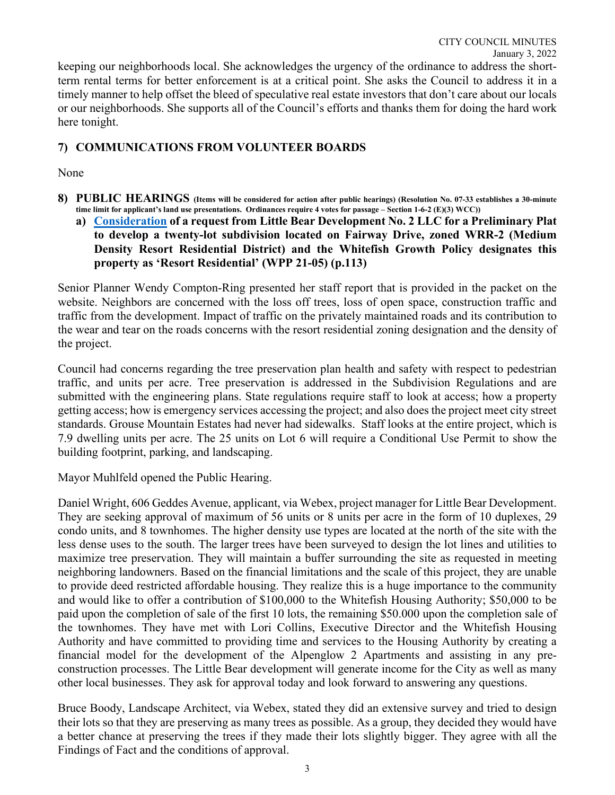keeping our neighborhoods local. She acknowledges the urgency of the ordinance to address the shortterm rental terms for better enforcement is at a critical point. She asks the Council to address it in a timely manner to help offset the bleed of speculative real estate investors that don't care about our locals or our neighborhoods. She supports all of the Council's efforts and thanks them for doing the hard work here tonight.

## **7) COMMUNICATIONS FROM VOLUNTEER BOARDS**

#### None

- **8) PUBLIC HEARINGS (Items will be considered for action after public hearings) (Resolution No. 07-33 establishes a 30-minute time limit for applicant's land use presentations. Ordinances require 4 votes for passage – Section 1-6-2 (E)(3) WCC))**
	- **a) [Consideration](https://cityofwhitefishmt.sharepoint.com/:b:/g/documents/EbydWf1v2_RGjqBgzFCWIrMBs9vXfrdDCY7UQtkVVHaS1w?e=UxoJaf) of a request from Little Bear Development No. 2 LLC for a Preliminary Plat to develop a twenty-lot subdivision located on Fairway Drive, zoned WRR-2 (Medium Density Resort Residential District) and the Whitefish Growth Policy designates this property as 'Resort Residential' (WPP 21-05) (p.113)**

Senior Planner Wendy Compton-Ring presented her staff report that is provided in the packet on the website. Neighbors are concerned with the loss off trees, loss of open space, construction traffic and traffic from the development. Impact of traffic on the privately maintained roads and its contribution to the wear and tear on the roads concerns with the resort residential zoning designation and the density of the project.

Council had concerns regarding the tree preservation plan health and safety with respect to pedestrian traffic, and units per acre. Tree preservation is addressed in the Subdivision Regulations and are submitted with the engineering plans. State regulations require staff to look at access; how a property getting access; how is emergency services accessing the project; and also does the project meet city street standards. Grouse Mountain Estates had never had sidewalks. Staff looks at the entire project, which is 7.9 dwelling units per acre. The 25 units on Lot 6 will require a Conditional Use Permit to show the building footprint, parking, and landscaping.

Mayor Muhlfeld opened the Public Hearing.

Daniel Wright, 606 Geddes Avenue, applicant, via Webex, project manager for Little Bear Development. They are seeking approval of maximum of 56 units or 8 units per acre in the form of 10 duplexes, 29 condo units, and 8 townhomes. The higher density use types are located at the north of the site with the less dense uses to the south. The larger trees have been surveyed to design the lot lines and utilities to maximize tree preservation. They will maintain a buffer surrounding the site as requested in meeting neighboring landowners. Based on the financial limitations and the scale of this project, they are unable to provide deed restricted affordable housing. They realize this is a huge importance to the community and would like to offer a contribution of \$100,000 to the Whitefish Housing Authority; \$50,000 to be paid upon the completion of sale of the first 10 lots, the remaining \$50.000 upon the completion sale of the townhomes. They have met with Lori Collins, Executive Director and the Whitefish Housing Authority and have committed to providing time and services to the Housing Authority by creating a financial model for the development of the Alpenglow 2 Apartments and assisting in any preconstruction processes. The Little Bear development will generate income for the City as well as many other local businesses. They ask for approval today and look forward to answering any questions.

Bruce Boody, Landscape Architect, via Webex, stated they did an extensive survey and tried to design their lots so that they are preserving as many trees as possible. As a group, they decided they would have a better chance at preserving the trees if they made their lots slightly bigger. They agree with all the Findings of Fact and the conditions of approval.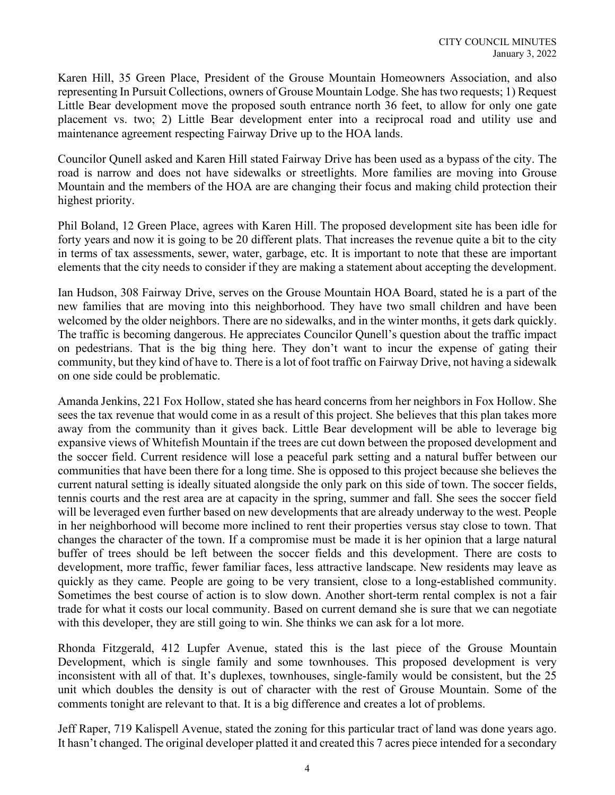Karen Hill, 35 Green Place, President of the Grouse Mountain Homeowners Association, and also representing In Pursuit Collections, owners of Grouse Mountain Lodge. She has two requests; 1) Request Little Bear development move the proposed south entrance north 36 feet, to allow for only one gate placement vs. two; 2) Little Bear development enter into a reciprocal road and utility use and maintenance agreement respecting Fairway Drive up to the HOA lands.

Councilor Qunell asked and Karen Hill stated Fairway Drive has been used as a bypass of the city. The road is narrow and does not have sidewalks or streetlights. More families are moving into Grouse Mountain and the members of the HOA are are changing their focus and making child protection their highest priority.

Phil Boland, 12 Green Place, agrees with Karen Hill. The proposed development site has been idle for forty years and now it is going to be 20 different plats. That increases the revenue quite a bit to the city in terms of tax assessments, sewer, water, garbage, etc. It is important to note that these are important elements that the city needs to consider if they are making a statement about accepting the development.

Ian Hudson, 308 Fairway Drive, serves on the Grouse Mountain HOA Board, stated he is a part of the new families that are moving into this neighborhood. They have two small children and have been welcomed by the older neighbors. There are no sidewalks, and in the winter months, it gets dark quickly. The traffic is becoming dangerous. He appreciates Councilor Qunell's question about the traffic impact on pedestrians. That is the big thing here. They don't want to incur the expense of gating their community, but they kind of have to. There is a lot of foot traffic on Fairway Drive, not having a sidewalk on one side could be problematic.

Amanda Jenkins, 221 Fox Hollow, stated she has heard concerns from her neighbors in Fox Hollow. She sees the tax revenue that would come in as a result of this project. She believes that this plan takes more away from the community than it gives back. Little Bear development will be able to leverage big expansive views of Whitefish Mountain if the trees are cut down between the proposed development and the soccer field. Current residence will lose a peaceful park setting and a natural buffer between our communities that have been there for a long time. She is opposed to this project because she believes the current natural setting is ideally situated alongside the only park on this side of town. The soccer fields, tennis courts and the rest area are at capacity in the spring, summer and fall. She sees the soccer field will be leveraged even further based on new developments that are already underway to the west. People in her neighborhood will become more inclined to rent their properties versus stay close to town. That changes the character of the town. If a compromise must be made it is her opinion that a large natural buffer of trees should be left between the soccer fields and this development. There are costs to development, more traffic, fewer familiar faces, less attractive landscape. New residents may leave as quickly as they came. People are going to be very transient, close to a long-established community. Sometimes the best course of action is to slow down. Another short-term rental complex is not a fair trade for what it costs our local community. Based on current demand she is sure that we can negotiate with this developer, they are still going to win. She thinks we can ask for a lot more.

Rhonda Fitzgerald, 412 Lupfer Avenue, stated this is the last piece of the Grouse Mountain Development, which is single family and some townhouses. This proposed development is very inconsistent with all of that. It's duplexes, townhouses, single-family would be consistent, but the 25 unit which doubles the density is out of character with the rest of Grouse Mountain. Some of the comments tonight are relevant to that. It is a big difference and creates a lot of problems.

Jeff Raper, 719 Kalispell Avenue, stated the zoning for this particular tract of land was done years ago. It hasn't changed. The original developer platted it and created this 7 acres piece intended for a secondary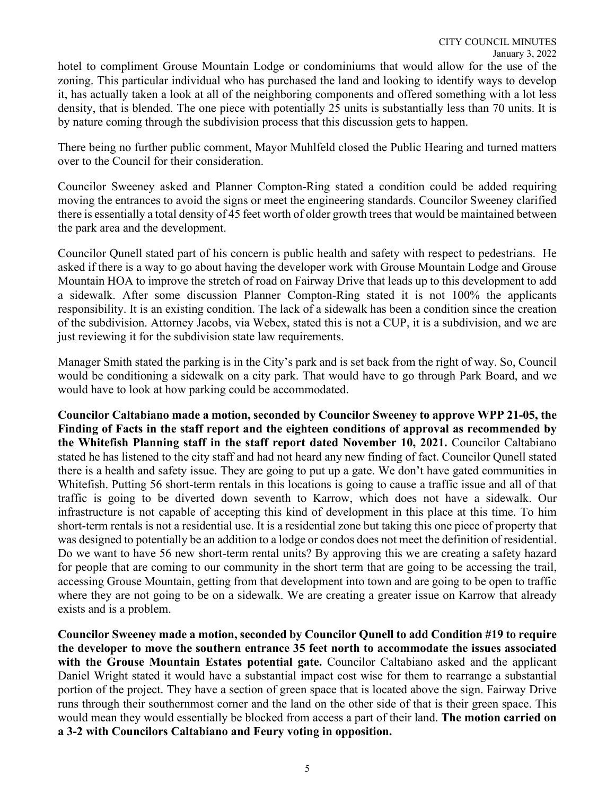hotel to compliment Grouse Mountain Lodge or condominiums that would allow for the use of the zoning. This particular individual who has purchased the land and looking to identify ways to develop it, has actually taken a look at all of the neighboring components and offered something with a lot less density, that is blended. The one piece with potentially 25 units is substantially less than 70 units. It is by nature coming through the subdivision process that this discussion gets to happen.

There being no further public comment, Mayor Muhlfeld closed the Public Hearing and turned matters over to the Council for their consideration.

Councilor Sweeney asked and Planner Compton-Ring stated a condition could be added requiring moving the entrances to avoid the signs or meet the engineering standards. Councilor Sweeney clarified there is essentially a total density of 45 feet worth of older growth trees that would be maintained between the park area and the development.

Councilor Qunell stated part of his concern is public health and safety with respect to pedestrians. He asked if there is a way to go about having the developer work with Grouse Mountain Lodge and Grouse Mountain HOA to improve the stretch of road on Fairway Drive that leads up to this development to add a sidewalk. After some discussion Planner Compton-Ring stated it is not 100% the applicants responsibility. It is an existing condition. The lack of a sidewalk has been a condition since the creation of the subdivision. Attorney Jacobs, via Webex, stated this is not a CUP, it is a subdivision, and we are just reviewing it for the subdivision state law requirements.

Manager Smith stated the parking is in the City's park and is set back from the right of way. So, Council would be conditioning a sidewalk on a city park. That would have to go through Park Board, and we would have to look at how parking could be accommodated.

**Councilor Caltabiano made a motion, seconded by Councilor Sweeney to approve WPP 21-05, the Finding of Facts in the staff report and the eighteen conditions of approval as recommended by the Whitefish Planning staff in the staff report dated November 10, 2021.** Councilor Caltabiano stated he has listened to the city staff and had not heard any new finding of fact. Councilor Qunell stated there is a health and safety issue. They are going to put up a gate. We don't have gated communities in Whitefish. Putting 56 short-term rentals in this locations is going to cause a traffic issue and all of that traffic is going to be diverted down seventh to Karrow, which does not have a sidewalk. Our infrastructure is not capable of accepting this kind of development in this place at this time. To him short-term rentals is not a residential use. It is a residential zone but taking this one piece of property that was designed to potentially be an addition to a lodge or condos does not meet the definition of residential. Do we want to have 56 new short-term rental units? By approving this we are creating a safety hazard for people that are coming to our community in the short term that are going to be accessing the trail, accessing Grouse Mountain, getting from that development into town and are going to be open to traffic where they are not going to be on a sidewalk. We are creating a greater issue on Karrow that already exists and is a problem.

**Councilor Sweeney made a motion, seconded by Councilor Qunell to add Condition #19 to require the developer to move the southern entrance 35 feet north to accommodate the issues associated with the Grouse Mountain Estates potential gate.** Councilor Caltabiano asked and the applicant Daniel Wright stated it would have a substantial impact cost wise for them to rearrange a substantial portion of the project. They have a section of green space that is located above the sign. Fairway Drive runs through their southernmost corner and the land on the other side of that is their green space. This would mean they would essentially be blocked from access a part of their land. **The motion carried on a 3-2 with Councilors Caltabiano and Feury voting in opposition.**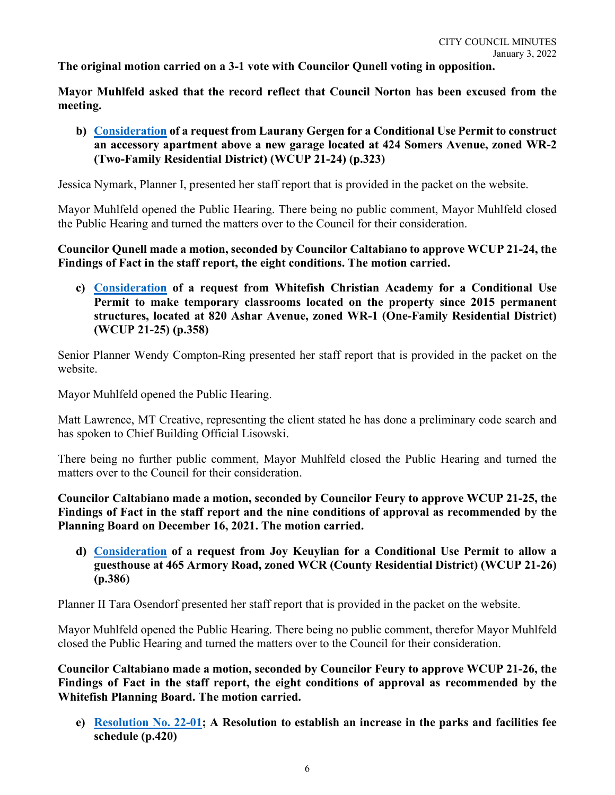**The original motion carried on a 3-1 vote with Councilor Qunell voting in opposition.** 

**Mayor Muhlfeld asked that the record reflect that Council Norton has been excused from the meeting.** 

**b) [Consideration](https://cityofwhitefishmt.sharepoint.com/:b:/g/documents/EZVQE1gGBtBDlXwoC9o514MBt8GKzYN8YkYTLuOQsusorQ?e=N16Epp) of a request from Laurany Gergen for a Conditional Use Permit to construct an accessory apartment above a new garage located at 424 Somers Avenue, zoned WR-2 (Two-Family Residential District) (WCUP 21-24) (p.323)**

Jessica Nymark, Planner I, presented her staff report that is provided in the packet on the website.

Mayor Muhlfeld opened the Public Hearing. There being no public comment, Mayor Muhlfeld closed the Public Hearing and turned the matters over to the Council for their consideration.

**Councilor Qunell made a motion, seconded by Councilor Caltabiano to approve WCUP 21-24, the Findings of Fact in the staff report, the eight conditions. The motion carried.** 

**c) [Consideration](https://cityofwhitefishmt.sharepoint.com/:b:/g/documents/EfCBAF0W60FFoFYxFHPooBUBD5rTqqssJeVAtiMyshaHxA?e=JHrZar) of a request from Whitefish Christian Academy for a Conditional Use Permit to make temporary classrooms located on the property since 2015 permanent structures, located at 820 Ashar Avenue, zoned WR-1 (One-Family Residential District) (WCUP 21-25) (p.358)**

Senior Planner Wendy Compton-Ring presented her staff report that is provided in the packet on the website.

Mayor Muhlfeld opened the Public Hearing.

Matt Lawrence, MT Creative, representing the client stated he has done a preliminary code search and has spoken to Chief Building Official Lisowski.

There being no further public comment, Mayor Muhlfeld closed the Public Hearing and turned the matters over to the Council for their consideration.

**Councilor Caltabiano made a motion, seconded by Councilor Feury to approve WCUP 21-25, the Findings of Fact in the staff report and the nine conditions of approval as recommended by the Planning Board on December 16, 2021. The motion carried.** 

**d) [Consideration](https://cityofwhitefishmt.sharepoint.com/:b:/g/documents/EdKEh5_6N8RGk0vBws8kmskBZGANK3n-Mh5YxkuEYmWb2g?e=ooZXw2) of a request from Joy Keuylian for a Conditional Use Permit to allow a guesthouse at 465 Armory Road, zoned WCR (County Residential District) (WCUP 21-26) (p.386)**

Planner II Tara Osendorf presented her staff report that is provided in the packet on the website.

Mayor Muhlfeld opened the Public Hearing. There being no public comment, therefor Mayor Muhlfeld closed the Public Hearing and turned the matters over to the Council for their consideration.

**Councilor Caltabiano made a motion, seconded by Councilor Feury to approve WCUP 21-26, the Findings of Fact in the staff report, the eight conditions of approval as recommended by the Whitefish Planning Board. The motion carried.** 

**e) [Resolution No. 22-0](https://cityofwhitefishmt.sharepoint.com/:b:/g/documents/ETxYqfjRiGFEoZZXWQAQLZEBN_r5nZniz4mrx5ZCH84z8g?e=ie6b7J)1; A Resolution to establish an increase in the parks and facilities fee schedule (p.420)**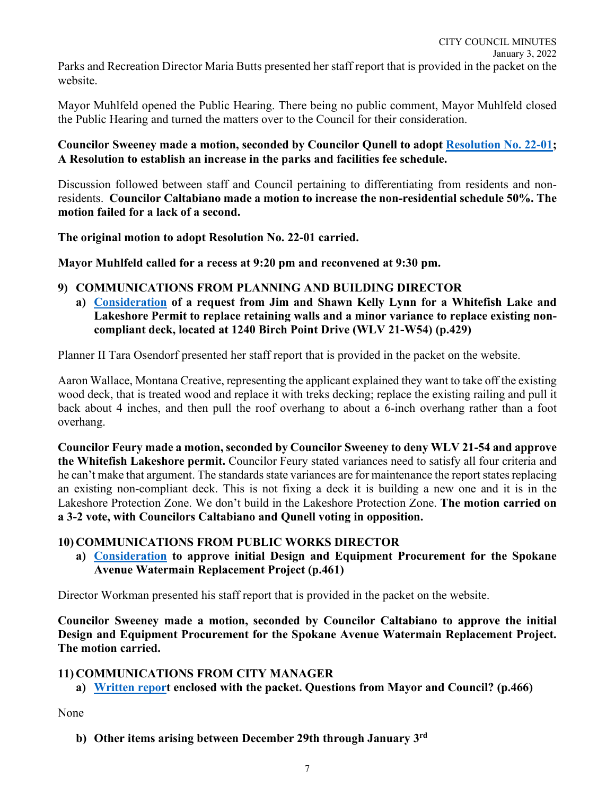Parks and Recreation Director Maria Butts presented her staff report that is provided in the packet on the website.

Mayor Muhlfeld opened the Public Hearing. There being no public comment, Mayor Muhlfeld closed the Public Hearing and turned the matters over to the Council for their consideration.

### **Councilor Sweeney made a motion, seconded by Councilor Qunell to adopt [Resolution No. 22-0](https://cityofwhitefishmt.sharepoint.com/:b:/g/documents/ETxYqfjRiGFEoZZXWQAQLZEBN_r5nZniz4mrx5ZCH84z8g?e=ie6b7J)1; A Resolution to establish an increase in the parks and facilities fee schedule.**

Discussion followed between staff and Council pertaining to differentiating from residents and nonresidents. **Councilor Caltabiano made a motion to increase the non-residential schedule 50%. The motion failed for a lack of a second.** 

**The original motion to adopt Resolution No. 22-01 carried.** 

**Mayor Muhlfeld called for a recess at 9:20 pm and reconvened at 9:30 pm.**

### **9) COMMUNICATIONS FROM PLANNING AND BUILDING DIRECTOR**

**a) [Consideration](https://cityofwhitefishmt.sharepoint.com/:b:/g/documents/EQzNSe5W5thNjuIZiLCSpNcBCbIW-aEYT7W4Unx-1LDFGQ?e=FTiaJZ) of a request from Jim and Shawn Kelly Lynn for a Whitefish Lake and Lakeshore Permit to replace retaining walls and a minor variance to replace existing noncompliant deck, located at 1240 Birch Point Drive (WLV 21-W54) (p.429)**

Planner II Tara Osendorf presented her staff report that is provided in the packet on the website.

Aaron Wallace, Montana Creative, representing the applicant explained they want to take off the existing wood deck, that is treated wood and replace it with treks decking; replace the existing railing and pull it back about 4 inches, and then pull the roof overhang to about a 6-inch overhang rather than a foot overhang.

**Councilor Feury made a motion, seconded by Councilor Sweeney to deny WLV 21-54 and approve the Whitefish Lakeshore permit.** Councilor Feury stated variances need to satisfy all four criteria and he can't make that argument. The standards state variances are for maintenance the report states replacing an existing non-compliant deck. This is not fixing a deck it is building a new one and it is in the Lakeshore Protection Zone. We don't build in the Lakeshore Protection Zone. **The motion carried on a 3-2 vote, with Councilors Caltabiano and Qunell voting in opposition.** 

### **10) COMMUNICATIONS FROM PUBLIC WORKS DIRECTOR**

**a) [Consideration](https://cityofwhitefishmt.sharepoint.com/:b:/g/documents/EYCuRb36Eg9Lq3bmd0Ay5jgBlSMPuy997jP67rnuJ2agIA?e=GKSPIM) to approve initial Design and Equipment Procurement for the Spokane Avenue Watermain Replacement Project (p.461)**

Director Workman presented his staff report that is provided in the packet on the website.

**Councilor Sweeney made a motion, seconded by Councilor Caltabiano to approve the initial Design and Equipment Procurement for the Spokane Avenue Watermain Replacement Project. The motion carried.** 

### **11) COMMUNICATIONS FROM CITY MANAGER**

**a) [Written report](https://cityofwhitefishmt.sharepoint.com/:b:/g/documents/EfwNUqCHk5FJvZB_eBq1_JUBSksesjKCOaFXO_P000AaRw?e=mTivKd) enclosed with the packet. Questions from Mayor and Council? (p.466)**

None

**b) Other items arising between December 29th through January 3rd**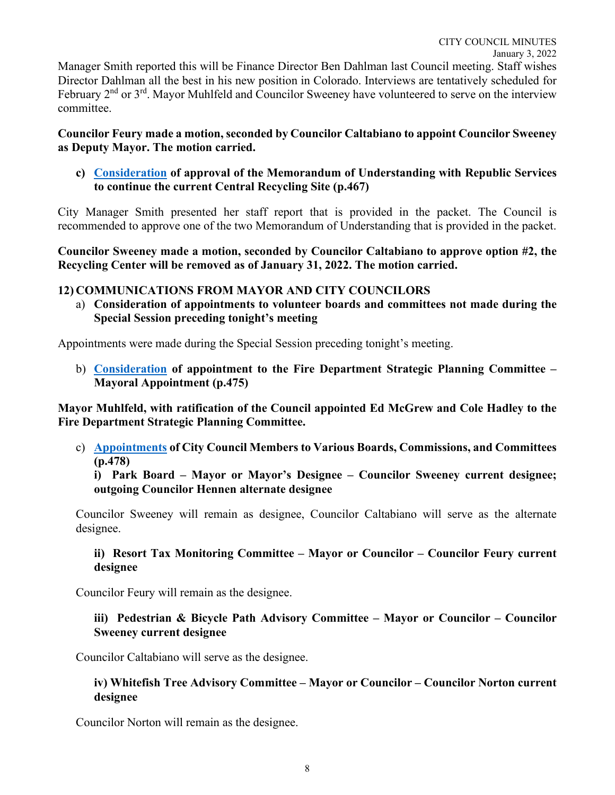### **Councilor Feury made a motion, seconded by Councilor Caltabiano to appoint Councilor Sweeney as Deputy Mayor. The motion carried.**

**c) [Consideration](https://cityofwhitefishmt.sharepoint.com/:b:/g/documents/ERxq8tZy3JBItn69OocE2UMBHYRl0LyLq1Vc5VSbt2AdnA?e=wNQQ6L) of approval of the Memorandum of Understanding with Republic Services to continue the current Central Recycling Site (p.467)**

City Manager Smith presented her staff report that is provided in the packet. The Council is recommended to approve one of the two Memorandum of Understanding that is provided in the packet.

**Councilor Sweeney made a motion, seconded by Councilor Caltabiano to approve option #2, the Recycling Center will be removed as of January 31, 2022. The motion carried.** 

### **12) COMMUNICATIONS FROM MAYOR AND CITY COUNCILORS**

a) **Consideration of appointments to volunteer boards and committees not made during the Special Session preceding tonight's meeting**

Appointments were made during the Special Session preceding tonight's meeting.

b) **[Consideration](https://cityofwhitefishmt.sharepoint.com/:b:/g/documents/EZG3kkEiaHBGh2KeNibspAsBqHwgb8SiLbrKvlTRwtc20w?e=1dleyT) of appointment to the Fire Department Strategic Planning Committee – Mayoral Appointment (p.475)**

**Mayor Muhlfeld, with ratification of the Council appointed Ed McGrew and Cole Hadley to the Fire Department Strategic Planning Committee.** 

c) **[Appointments](https://cityofwhitefishmt.sharepoint.com/:b:/g/documents/ET__KV4Cv-VHt1s95spyzXwBYvU4s2kKsBVnE-Z0ZXKTRQ?e=KHQ5Bd) of City Council Members to Various Boards, Commissions, and Committees (p.478)**

**i) Park Board – Mayor or Mayor's Designee – Councilor Sweeney current designee; outgoing Councilor Hennen alternate designee**

Councilor Sweeney will remain as designee, Councilor Caltabiano will serve as the alternate designee.

### **ii) Resort Tax Monitoring Committee – Mayor or Councilor – Councilor Feury current designee**

Councilor Feury will remain as the designee.

### **iii) Pedestrian & Bicycle Path Advisory Committee – Mayor or Councilor – Councilor Sweeney current designee**

Councilor Caltabiano will serve as the designee.

### **iv) Whitefish Tree Advisory Committee – Mayor or Councilor – Councilor Norton current designee**

Councilor Norton will remain as the designee.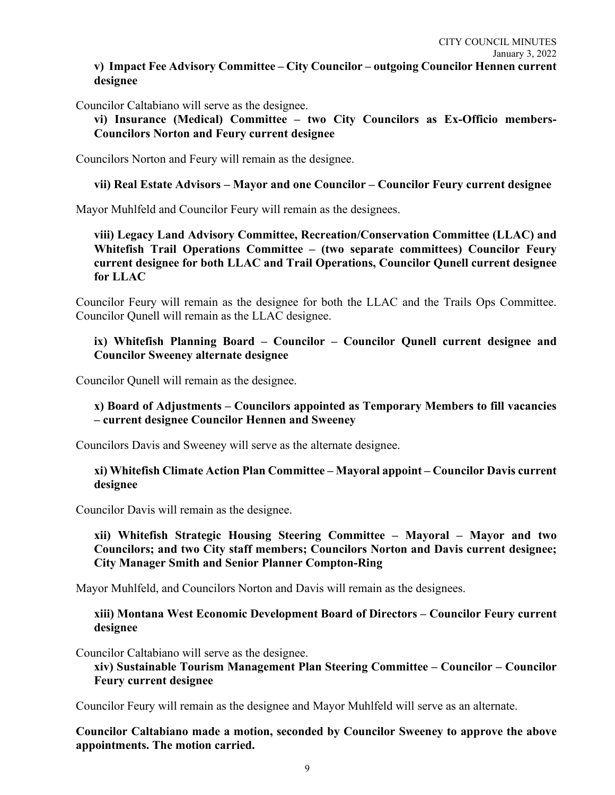### **v) Impact Fee Advisory Committee – City Councilor – outgoing Councilor Hennen current designee**

Councilor Caltabiano will serve as the designee.

**vi) Insurance (Medical) Committee – two City Councilors as Ex-Officio members-Councilors Norton and Feury current designee**

Councilors Norton and Feury will remain as the designee.

### **vii) Real Estate Advisors – Mayor and one Councilor – Councilor Feury current designee**

Mayor Muhlfeld and Councilor Feury will remain as the designees.

**viii) Legacy Land Advisory Committee, Recreation/Conservation Committee (LLAC) and Whitefish Trail Operations Committee – (two separate committees) Councilor Feury current designee for both LLAC and Trail Operations, Councilor Qunell current designee for LLAC**

Councilor Feury will remain as the designee for both the LLAC and the Trails Ops Committee. Councilor Qunell will remain as the LLAC designee.

### **ix) Whitefish Planning Board – Councilor – Councilor Qunell current designee and Councilor Sweeney alternate designee**

Councilor Qunell will remain as the designee.

### **x) Board of Adjustments – Councilors appointed as Temporary Members to fill vacancies – current designee Councilor Hennen and Sweeney**

Councilors Davis and Sweeney will serve as the alternate designee.

### **xi) Whitefish Climate Action Plan Committee – Mayoral appoint – Councilor Davis current designee**

Councilor Davis will remain as the designee.

### **xii) Whitefish Strategic Housing Steering Committee – Mayoral – Mayor and two Councilors; and two City staff members; Councilors Norton and Davis current designee; City Manager Smith and Senior Planner Compton-Ring**

Mayor Muhlfeld, and Councilors Norton and Davis will remain as the designees.

**xiii) Montana West Economic Development Board of Directors – Councilor Feury current designee**

Councilor Caltabiano will serve as the designee.

**xiv) Sustainable Tourism Management Plan Steering Committee – Councilor – Councilor Feury current designee**

Councilor Feury will remain as the designee and Mayor Muhlfeld will serve as an alternate.

**Councilor Caltabiano made a motion, seconded by Councilor Sweeney to approve the above appointments. The motion carried.**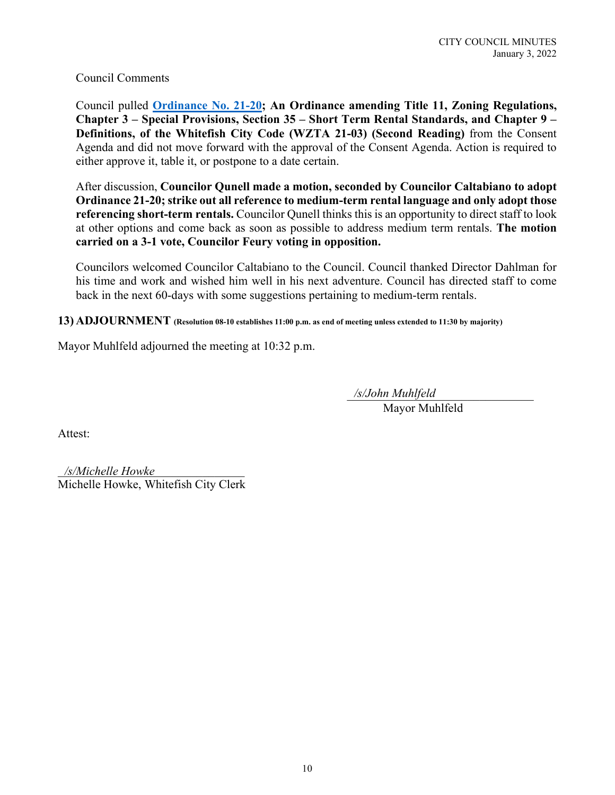Council Comments

Council pulled **[Ordinance No. 21-20;](https://cityofwhitefishmt.sharepoint.com/:b:/g/documents/EdndE4pcW8dIub3HlroxvIABnixaFWUhlHGx8eQP-jmdAA?e=llmKJ3) An Ordinance amending Title 11, Zoning Regulations, Chapter 3 – Special Provisions, Section 35 – Short Term Rental Standards, and Chapter 9 – Definitions, of the Whitefish City Code (WZTA 21-03) (Second Reading)** from the Consent Agenda and did not move forward with the approval of the Consent Agenda. Action is required to either approve it, table it, or postpone to a date certain.

After discussion, **Councilor Qunell made a motion, seconded by Councilor Caltabiano to adopt Ordinance 21-20; strike out all reference to medium-term rental language and only adopt those referencing short-term rentals.** Councilor Qunell thinks this is an opportunity to direct staff to look at other options and come back as soon as possible to address medium term rentals. **The motion carried on a 3-1 vote, Councilor Feury voting in opposition.** 

Councilors welcomed Councilor Caltabiano to the Council. Council thanked Director Dahlman for his time and work and wished him well in his next adventure. Council has directed staff to come back in the next 60-days with some suggestions pertaining to medium-term rentals.

**13) ADJOURNMENT (Resolution 08-10 establishes 11:00 p.m. as end of meeting unless extended to 11:30 by majority)** 

Mayor Muhlfeld adjourned the meeting at 10:32 p.m.

\_\_\_\_\_\_\_\_\_\_\_\_\_\_\_\_\_\_\_\_\_\_\_\_\_\_\_\_\_\_\_ */s/John Muhlfeld*

Mayor Muhlfeld

Attest:

\_\_\_\_\_\_\_\_\_\_\_\_\_\_\_\_\_\_\_\_\_\_\_\_\_\_\_\_\_\_\_ */s/Michelle Howke*Michelle Howke, Whitefish City Clerk